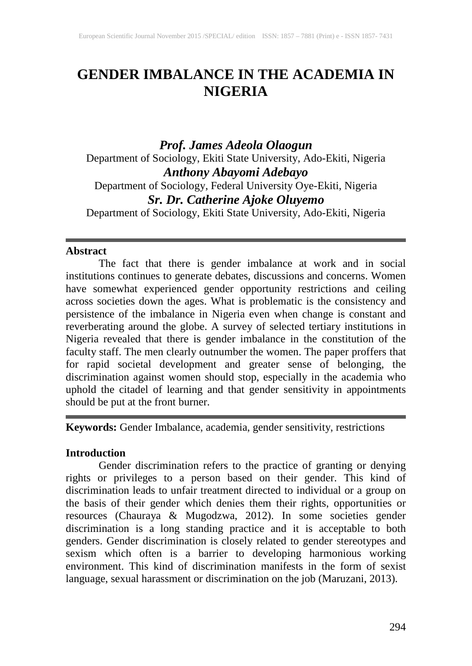# **GENDER IMBALANCE IN THE ACADEMIA IN NIGERIA**

*Prof. James Adeola Olaogun* Department of Sociology, Ekiti State University, Ado-Ekiti, Nigeria *Anthony Abayomi Adebayo* Department of Sociology, Federal University Oye-Ekiti, Nigeria *Sr. Dr. Catherine Ajoke Oluyemo* Department of Sociology, Ekiti State University, Ado-Ekiti, Nigeria

#### **Abstract**

The fact that there is gender imbalance at work and in social institutions continues to generate debates, discussions and concerns. Women have somewhat experienced gender opportunity restrictions and ceiling across societies down the ages. What is problematic is the consistency and persistence of the imbalance in Nigeria even when change is constant and reverberating around the globe. A survey of selected tertiary institutions in Nigeria revealed that there is gender imbalance in the constitution of the faculty staff. The men clearly outnumber the women. The paper proffers that for rapid societal development and greater sense of belonging, the discrimination against women should stop, especially in the academia who uphold the citadel of learning and that gender sensitivity in appointments should be put at the front burner.

**Keywords:** Gender Imbalance, academia, gender sensitivity, restrictions

## **Introduction**

Gender discrimination refers to the practice of granting or denying rights or privileges to a person based on their gender. This kind of discrimination leads to unfair treatment directed to individual or a group on the basis of their gender which denies them their rights, opportunities or resources (Chauraya & Mugodzwa, 2012). In some societies gender discrimination is a long standing practice and it is acceptable to both genders. Gender discrimination is closely related to gender stereotypes and sexism which often is a barrier to developing harmonious working environment. This kind of discrimination manifests in the form of sexist language, sexual harassment or discrimination on the job (Maruzani, 2013).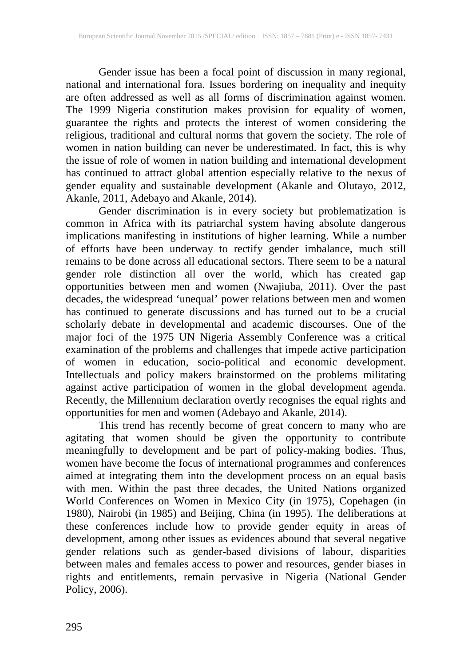Gender issue has been a focal point of discussion in many regional, national and international fora. Issues bordering on inequality and inequity are often addressed as well as all forms of discrimination against women. The 1999 Nigeria constitution makes provision for equality of women, guarantee the rights and protects the interest of women considering the religious, traditional and cultural norms that govern the society. The role of women in nation building can never be underestimated. In fact, this is why the issue of role of women in nation building and international development has continued to attract global attention especially relative to the nexus of gender equality and sustainable development (Akanle and Olutayo, 2012, Akanle, 2011, Adebayo and Akanle, 2014).

Gender discrimination is in every society but problematization is common in Africa with its patriarchal system having absolute dangerous implications manifesting in institutions of higher learning. While a number of efforts have been underway to rectify gender imbalance, much still remains to be done across all educational sectors. There seem to be a natural gender role distinction all over the world, which has created gap opportunities between men and women (Nwajiuba, 2011). Over the past decades, the widespread 'unequal' power relations between men and women has continued to generate discussions and has turned out to be a crucial scholarly debate in developmental and academic discourses. One of the major foci of the 1975 UN Nigeria Assembly Conference was a critical examination of the problems and challenges that impede active participation of women in education, socio-political and economic development. Intellectuals and policy makers brainstormed on the problems militating against active participation of women in the global development agenda. Recently, the Millennium declaration overtly recognises the equal rights and opportunities for men and women (Adebayo and Akanle, 2014).

This trend has recently become of great concern to many who are agitating that women should be given the opportunity to contribute meaningfully to development and be part of policy-making bodies. Thus, women have become the focus of international programmes and conferences aimed at integrating them into the development process on an equal basis with men. Within the past three decades, the United Nations organized World Conferences on Women in Mexico City (in 1975), Copehagen (in 1980), Nairobi (in 1985) and Beijing, China (in 1995). The deliberations at these conferences include how to provide gender equity in areas of development, among other issues as evidences abound that several negative gender relations such as gender-based divisions of labour, disparities between males and females access to power and resources, gender biases in rights and entitlements, remain pervasive in Nigeria (National Gender Policy, 2006).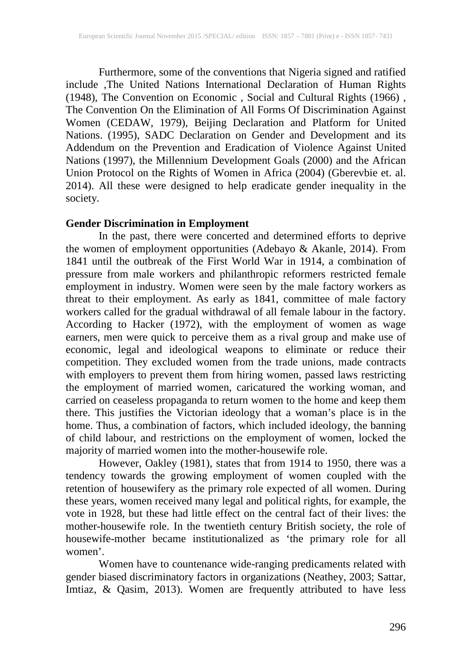Furthermore, some of the conventions that Nigeria signed and ratified include ,The United Nations International Declaration of Human Rights (1948), The Convention on Economic , Social and Cultural Rights (1966) , The Convention On the Elimination of All Forms Of Discrimination Against Women (CEDAW, 1979), Beijing Declaration and Platform for United Nations. (1995), SADC Declaration on Gender and Development and its Addendum on the Prevention and Eradication of Violence Against United Nations (1997), the Millennium Development Goals (2000) and the African Union Protocol on the Rights of Women in Africa (2004) (Gberevbie et. al. 2014). All these were designed to help eradicate gender inequality in the society.

## **Gender Discrimination in Employment**

In the past, there were concerted and determined efforts to deprive the women of employment opportunities (Adebayo & Akanle, 2014). From 1841 until the outbreak of the First World War in 1914, a combination of pressure from male workers and philanthropic reformers restricted female employment in industry. Women were seen by the male factory workers as threat to their employment. As early as 1841, committee of male factory workers called for the gradual withdrawal of all female labour in the factory. According to Hacker (1972), with the employment of women as wage earners, men were quick to perceive them as a rival group and make use of economic, legal and ideological weapons to eliminate or reduce their competition. They excluded women from the trade unions, made contracts with employers to prevent them from hiring women, passed laws restricting the employment of married women, caricatured the working woman, and carried on ceaseless propaganda to return women to the home and keep them there. This justifies the Victorian ideology that a woman's place is in the home. Thus, a combination of factors, which included ideology, the banning of child labour, and restrictions on the employment of women, locked the majority of married women into the mother-housewife role.

However, Oakley (1981), states that from 1914 to 1950, there was a tendency towards the growing employment of women coupled with the retention of housewifery as the primary role expected of all women. During these years, women received many legal and political rights, for example, the vote in 1928, but these had little effect on the central fact of their lives: the mother-housewife role. In the twentieth century British society, the role of housewife-mother became institutionalized as 'the primary role for all women'.

Women have to countenance wide-ranging predicaments related with gender biased discriminatory factors in organizations (Neathey, 2003; Sattar, Imtiaz, & Qasim, 2013). Women are frequently attributed to have less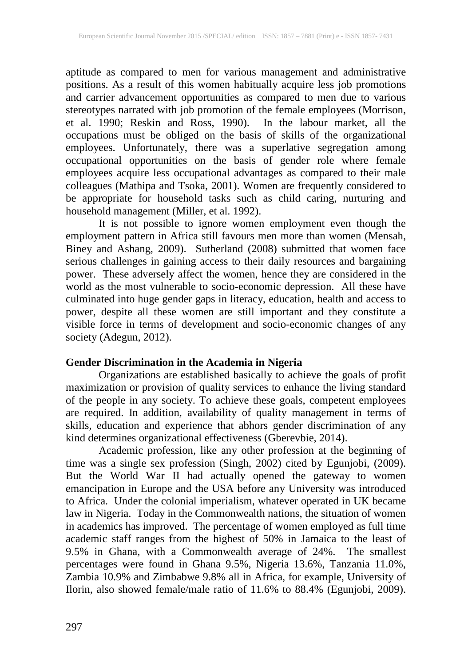aptitude as compared to men for various management and administrative positions. As a result of this women habitually acquire less job promotions and carrier advancement opportunities as compared to men due to various stereotypes narrated with job promotion of the female employees (Morrison, et al. 1990; Reskin and Ross, 1990). In the labour market, all the occupations must be obliged on the basis of skills of the organizational employees. Unfortunately, there was a superlative segregation among occupational opportunities on the basis of gender role where female employees acquire less occupational advantages as compared to their male colleagues (Mathipa and Tsoka, 2001). Women are frequently considered to be appropriate for household tasks such as child caring, nurturing and household management (Miller, et al. 1992).

It is not possible to ignore women employment even though the employment pattern in Africa still favours men more than women (Mensah, Biney and Ashang, 2009). Sutherland (2008) submitted that women face serious challenges in gaining access to their daily resources and bargaining power. These adversely affect the women, hence they are considered in the world as the most vulnerable to socio-economic depression. All these have culminated into huge gender gaps in literacy, education, health and access to power, despite all these women are still important and they constitute a visible force in terms of development and socio-economic changes of any society (Adegun, 2012).

## **Gender Discrimination in the Academia in Nigeria**

Organizations are established basically to achieve the goals of profit maximization or provision of quality services to enhance the living standard of the people in any society. To achieve these goals, competent employees are required. In addition, availability of quality management in terms of skills, education and experience that abhors gender discrimination of any kind determines organizational effectiveness (Gberevbie, 2014).

Academic profession, like any other profession at the beginning of time was a single sex profession (Singh, 2002) cited by Egunjobi, (2009). But the World War II had actually opened the gateway to women emancipation in Europe and the USA before any University was introduced to Africa. Under the colonial imperialism, whatever operated in UK became law in Nigeria. Today in the Commonwealth nations, the situation of women in academics has improved. The percentage of women employed as full time academic staff ranges from the highest of 50% in Jamaica to the least of 9.5% in Ghana, with a Commonwealth average of 24%. The smallest percentages were found in Ghana 9.5%, Nigeria 13.6%, Tanzania 11.0%, Zambia 10.9% and Zimbabwe 9.8% all in Africa, for example, University of Ilorin, also showed female/male ratio of 11.6% to 88.4% (Egunjobi, 2009).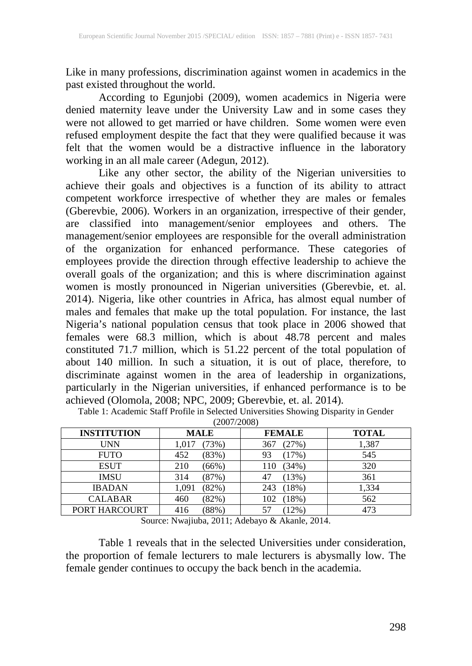Like in many professions, discrimination against women in academics in the past existed throughout the world.

According to Egunjobi (2009), women academics in Nigeria were denied maternity leave under the University Law and in some cases they were not allowed to get married or have children. Some women were even refused employment despite the fact that they were qualified because it was felt that the women would be a distractive influence in the laboratory working in an all male career (Adegun, 2012).

Like any other sector, the ability of the Nigerian universities to achieve their goals and objectives is a function of its ability to attract competent workforce irrespective of whether they are males or females (Gberevbie, 2006). Workers in an organization, irrespective of their gender, are classified into management/senior employees and others. The management/senior employees are responsible for the overall administration of the organization for enhanced performance. These categories of employees provide the direction through effective leadership to achieve the overall goals of the organization; and this is where discrimination against women is mostly pronounced in Nigerian universities (Gberevbie, et. al. 2014). Nigeria, like other countries in Africa, has almost equal number of males and females that make up the total population. For instance, the last Nigeria's national population census that took place in 2006 showed that females were 68.3 million, which is about 48.78 percent and males constituted 71.7 million, which is 51.22 percent of the total population of about 140 million. In such a situation, it is out of place, therefore, to discriminate against women in the area of leadership in organizations, particularly in the Nigerian universities, if enhanced performance is to be achieved (Olomola, 2008; NPC, 2009; Gberevbie, et. al. 2014).

| <b>INSTITUTION</b> | <b>MALE</b>    | <b>FEMALE</b> | <b>TOTAL</b> |
|--------------------|----------------|---------------|--------------|
| <b>UNN</b>         | (73%)<br>1.017 | (27%)<br>367  | 1,387        |
| <b>FUTO</b>        | 452<br>(83%)   | (17%)<br>93   | 545          |
| <b>ESUT</b>        | 210<br>(66%)   | (34%)<br>110  | 320          |
| <b>IMSU</b>        | (87%)<br>314   | (13%)         | 361          |
| <b>IBADAN</b>      | 1,091<br>(82%) | (18%)<br>243  | 1,334        |
| <b>CALABAR</b>     | (82%)<br>460   | (18%)<br>102  | 562          |
| PORT HARCOURT      | (88%)<br>416   | $(12\%)$      | 473          |

Table 1: Academic Staff Profile in Selected Universities Showing Disparity in Gender  $(2007/2008)$ 

Source: Nwajiuba, 2011; Adebayo & Akanle, 2014.

Table 1 reveals that in the selected Universities under consideration, the proportion of female lecturers to male lecturers is abysmally low. The female gender continues to occupy the back bench in the academia.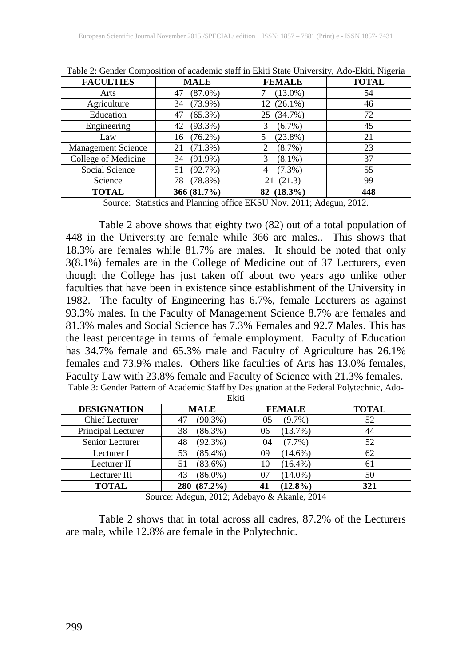| <b>FACULTIES</b>          | <b>MALE</b>      | <b>FEMALE</b>  | <b>TOTAL</b> |
|---------------------------|------------------|----------------|--------------|
| Arts                      | $(87.0\%)$<br>47 | $(13.0\%)$     | 54           |
| Agriculture               | $(73.9\%)$<br>34 | 12 (26.1%)     | 46           |
| Education                 | $(65.3\%)$<br>47 | 25 (34.7%)     | 72           |
| Engineering               | $(93.3\%)$<br>42 | $(6.7\%)$      | 45           |
| Law                       | $(76.2\%)$<br>16 | $(23.8\%)$     | 21           |
| <b>Management Science</b> | $(71.3\%)$<br>21 | $(8.7\%)$      | 23           |
| College of Medicine       | $(91.9\%)$<br>34 | $(8.1\%)$      | 37           |
| Social Science            | (92.7%)          | $(7.3\%)$<br>4 | 55           |
| Science                   | $(78.8\%)$<br>78 | (21.3)<br>21   | 99           |
| <b>TOTAL</b>              | 366 (81.7%)      | 82 (18.3%)     | 448          |

Table 2: Gender Composition of academic staff in Ekiti State University, Ado-Ekiti, Nigeria

Source: Statistics and Planning office EKSU Nov. 2011; Adegun, 2012.

Table 2 above shows that eighty two (82) out of a total population of 448 in the University are female while 366 are males.. This shows that 18.3% are females while 81.7% are males. It should be noted that only 3(8.1%) females are in the College of Medicine out of 37 Lecturers, even though the College has just taken off about two years ago unlike other faculties that have been in existence since establishment of the University in 1982. The faculty of Engineering has 6.7%, female Lecturers as against 93.3% males. In the Faculty of Management Science 8.7% are females and 81.3% males and Social Science has 7.3% Females and 92.7 Males. This has the least percentage in terms of female employment. Faculty of Education has 34.7% female and 65.3% male and Faculty of Agriculture has 26.1% females and 73.9% males. Others like faculties of Arts has 13.0% females, Faculty Law with 23.8% female and Faculty of Science with 21.3% females.<br>Table 3: Gender Pattern of Academic Staff by Designation at the Federal Polytechnic, Ado-

| <b>DESIGNATION</b>    | <b>MALE</b>       | <b>FEMALE</b>    | <b>TOTAL</b> |
|-----------------------|-------------------|------------------|--------------|
| <b>Chief Lecturer</b> | $(90.3\%)$<br>47  | $(9.7\%)$<br>05  | 52           |
| Principal Lecturer    | $(86.3\%)$<br>38  | (13.7%)<br>06    | 44           |
| Senior Lecturer       | $(92.3\%)$<br>48  | $(7.7\%)$<br>04  | 52           |
| Lecturer I            | $(85.4\%)$<br>53  | $(14.6\%)$<br>09 | 62           |
| Lecturer II           | $(83.6\%)$<br>51  | $(16.4\%)$<br>10 | 61           |
| Lecturer III          | $(86.0\%)$<br>43  | $(14.0\%)$       | 50           |
| <b>TOTAL</b>          | $(87.2\%)$<br>280 | $(12.8\%)$       | 321          |

Source: Adegun, 2012; Adebayo & Akanle, 2014

Table 2 shows that in total across all cadres, 87.2% of the Lecturers are male, while 12.8% are female in the Polytechnic.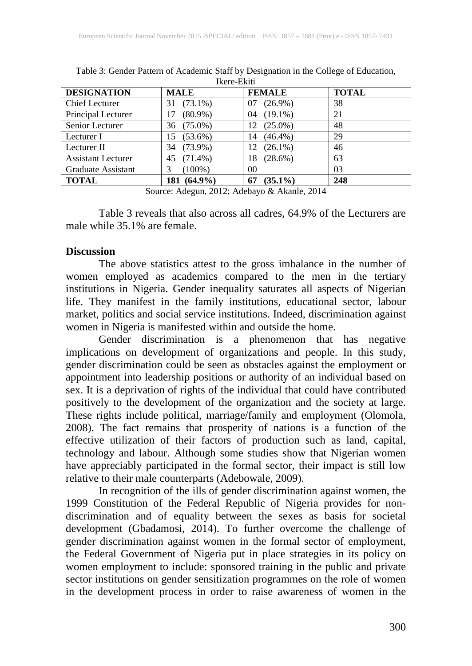| <b>DESIGNATION</b>        | <b>MALE</b>      | <b>FEMALE</b>    | <b>TOTAL</b> |
|---------------------------|------------------|------------------|--------------|
| <b>Chief Lecturer</b>     | $(73.1\%)$<br>31 | $(26.9\%)$<br>07 | 38           |
| Principal Lecturer        | $(80.9\%)$<br>17 | $(19.1\%)$<br>04 | 21           |
| Senior Lecturer           | 36 (75.0%)       | $(25.0\%)$<br>12 | 48           |
| Lecturer I                | $(53.6\%)$<br>15 | $(46.4\%)$<br>14 | 29           |
| Lecturer II               | $(73.9\%)$<br>34 | $(26.1\%)$<br>12 | 46           |
| <b>Assistant Lecturer</b> | $(71.4\%)$<br>45 | $(28.6\%)$<br>18 | 63           |
| Graduate Assistant        | $(100\%)$        | 00               | 03           |
| <b>TOTAL</b>              | 181 (64.9%)      | $(35.1\%)$<br>67 | 248          |

Table 3: Gender Pattern of Academic Staff by Designation in the College of Education, Ikere-Ekiti

Source: Adegun, 2012; Adebayo & Akanle, 2014

Table 3 reveals that also across all cadres, 64.9% of the Lecturers are male while 35.1% are female.

#### **Discussion**

The above statistics attest to the gross imbalance in the number of women employed as academics compared to the men in the tertiary institutions in Nigeria. Gender inequality saturates all aspects of Nigerian life. They manifest in the family institutions, educational sector, labour market, politics and social service institutions. Indeed, discrimination against women in Nigeria is manifested within and outside the home.

Gender discrimination is a phenomenon that has negative implications on development of organizations and people. In this study, gender discrimination could be seen as obstacles against the employment or appointment into leadership positions or authority of an individual based on sex. It is a deprivation of rights of the individual that could have contributed positively to the development of the organization and the society at large. These rights include political, marriage/family and employment (Olomola, 2008). The fact remains that prosperity of nations is a function of the effective utilization of their factors of production such as land, capital, technology and labour. Although some studies show that Nigerian women have appreciably participated in the formal sector, their impact is still low relative to their male counterparts (Adebowale, 2009).

In recognition of the ills of gender discrimination against women, the 1999 Constitution of the Federal Republic of Nigeria provides for nondiscrimination and of equality between the sexes as basis for societal development (Gbadamosi, 2014). To further overcome the challenge of gender discrimination against women in the formal sector of employment, the Federal Government of Nigeria put in place strategies in its policy on women employment to include: sponsored training in the public and private sector institutions on gender sensitization programmes on the role of women in the development process in order to raise awareness of women in the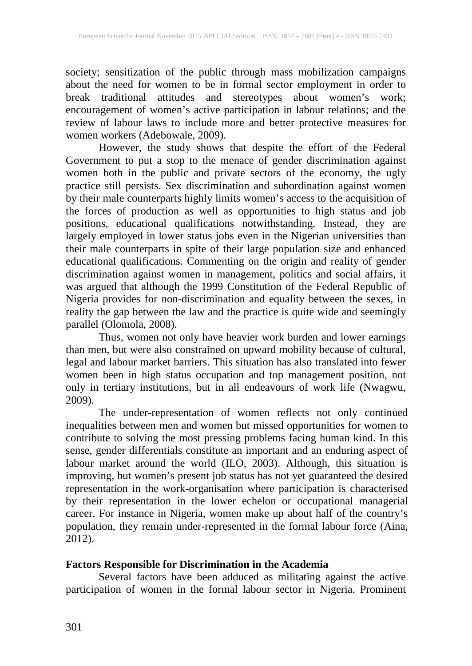society; sensitization of the public through mass mobilization campaigns about the need for women to be in formal sector employment in order to break traditional attitudes and stereotypes about women's work; encouragement of women's active participation in labour relations; and the review of labour laws to include more and better protective measures for women workers (Adebowale, 2009).

However, the study shows that despite the effort of the Federal Government to put a stop to the menace of gender discrimination against women both in the public and private sectors of the economy, the ugly practice still persists. Sex discrimination and subordination against women by their male counterparts highly limits women's access to the acquisition of the forces of production as well as opportunities to high status and job positions, educational qualifications notwithstanding. Instead, they are largely employed in lower status jobs even in the Nigerian universities than their male counterparts in spite of their large population size and enhanced educational qualifications. Commenting on the origin and reality of gender discrimination against women in management, politics and social affairs, it was argued that although the 1999 Constitution of the Federal Republic of Nigeria provides for non-discrimination and equality between the sexes, in reality the gap between the law and the practice is quite wide and seemingly parallel (Olomola, 2008).

Thus, women not only have heavier work burden and lower earnings than men, but were also constrained on upward mobility because of cultural, legal and labour market barriers. This situation has also translated into fewer women been in high status occupation and top management position, not only in tertiary institutions, but in all endeavours of work life (Nwagwu, 2009).

The under-representation of women reflects not only continued inequalities between men and women but missed opportunities for women to contribute to solving the most pressing problems facing human kind. In this sense, gender differentials constitute an important and an enduring aspect of labour market around the world (ILO, 2003). Although, this situation is improving, but women's present job status has not yet guaranteed the desired representation in the work-organisation where participation is characterised by their representation in the lower echelon or occupational managerial career. For instance in Nigeria, women make up about half of the country's population, they remain under-represented in the formal labour force (Aina, 2012).

## **Factors Responsible for Discrimination in the Academia**

Several factors have been adduced as militating against the active participation of women in the formal labour sector in Nigeria. Prominent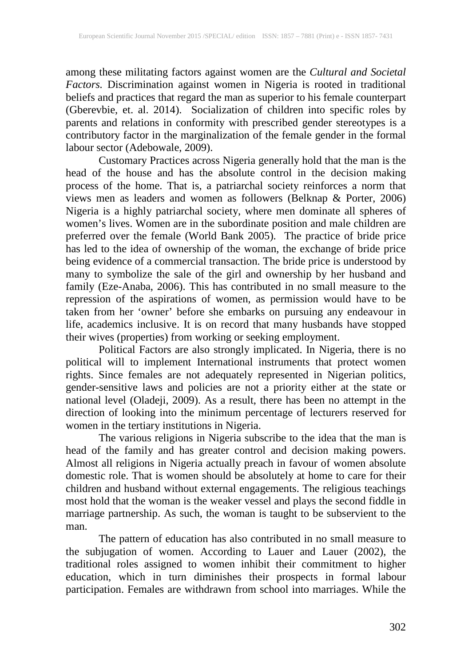among these militating factors against women are the *Cultural and Societal Factors.* Discrimination against women in Nigeria is rooted in traditional beliefs and practices that regard the man as superior to his female counterpart (Gberevbie, et. al. 2014). Socialization of children into specific roles by parents and relations in conformity with prescribed gender stereotypes is a contributory factor in the marginalization of the female gender in the formal labour sector (Adebowale, 2009).

Customary Practices across Nigeria generally hold that the man is the head of the house and has the absolute control in the decision making process of the home. That is, a patriarchal society reinforces a norm that views men as leaders and women as followers (Belknap & Porter, 2006) Nigeria is a highly patriarchal society, where men dominate all spheres of women's lives. Women are in the subordinate position and male children are preferred over the female (World Bank 2005). The practice of bride price has led to the idea of ownership of the woman, the exchange of bride price being evidence of a commercial transaction. The bride price is understood by many to symbolize the sale of the girl and ownership by her husband and family (Eze-Anaba, 2006). This has contributed in no small measure to the repression of the aspirations of women, as permission would have to be taken from her 'owner' before she embarks on pursuing any endeavour in life, academics inclusive. It is on record that many husbands have stopped their wives (properties) from working or seeking employment.

Political Factors are also strongly implicated. In Nigeria, there is no political will to implement International instruments that protect women rights. Since females are not adequately represented in Nigerian politics, gender-sensitive laws and policies are not a priority either at the state or national level (Oladeji, 2009). As a result, there has been no attempt in the direction of looking into the minimum percentage of lecturers reserved for women in the tertiary institutions in Nigeria.

The various religions in Nigeria subscribe to the idea that the man is head of the family and has greater control and decision making powers. Almost all religions in Nigeria actually preach in favour of women absolute domestic role. That is women should be absolutely at home to care for their children and husband without external engagements. The religious teachings most hold that the woman is the weaker vessel and plays the second fiddle in marriage partnership. As such, the woman is taught to be subservient to the man.

The pattern of education has also contributed in no small measure to the subjugation of women. According to Lauer and Lauer (2002), the traditional roles assigned to women inhibit their commitment to higher education, which in turn diminishes their prospects in formal labour participation. Females are withdrawn from school into marriages. While the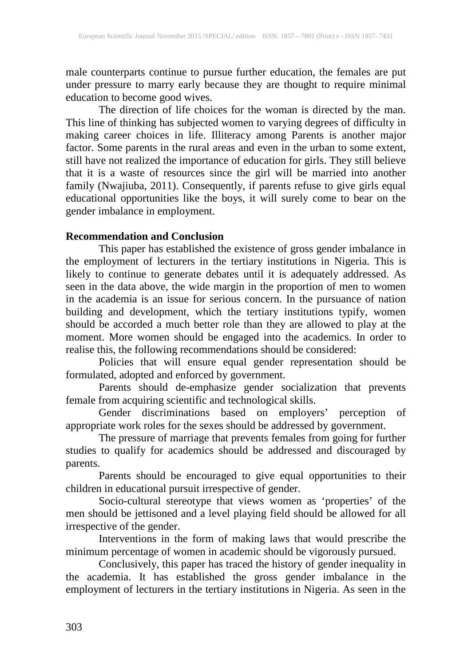male counterparts continue to pursue further education, the females are put under pressure to marry early because they are thought to require minimal education to become good wives.

The direction of life choices for the woman is directed by the man. This line of thinking has subjected women to varying degrees of difficulty in making career choices in life. Illiteracy among Parents is another major factor. Some parents in the rural areas and even in the urban to some extent, still have not realized the importance of education for girls. They still believe that it is a waste of resources since the girl will be married into another family (Nwajiuba, 2011). Consequently, if parents refuse to give girls equal educational opportunities like the boys, it will surely come to bear on the gender imbalance in employment.

## **Recommendation and Conclusion**

This paper has established the existence of gross gender imbalance in the employment of lecturers in the tertiary institutions in Nigeria. This is likely to continue to generate debates until it is adequately addressed. As seen in the data above, the wide margin in the proportion of men to women in the academia is an issue for serious concern. In the pursuance of nation building and development, which the tertiary institutions typify, women should be accorded a much better role than they are allowed to play at the moment. More women should be engaged into the academics. In order to realise this, the following recommendations should be considered:

Policies that will ensure equal gender representation should be formulated, adopted and enforced by government.

Parents should de-emphasize gender socialization that prevents female from acquiring scientific and technological skills.

Gender discriminations based on employers' perception of appropriate work roles for the sexes should be addressed by government.

The pressure of marriage that prevents females from going for further studies to qualify for academics should be addressed and discouraged by parents.

Parents should be encouraged to give equal opportunities to their children in educational pursuit irrespective of gender.

Socio-cultural stereotype that views women as 'properties' of the men should be jettisoned and a level playing field should be allowed for all irrespective of the gender.

Interventions in the form of making laws that would prescribe the minimum percentage of women in academic should be vigorously pursued.

Conclusively, this paper has traced the history of gender inequality in the academia. It has established the gross gender imbalance in the employment of lecturers in the tertiary institutions in Nigeria. As seen in the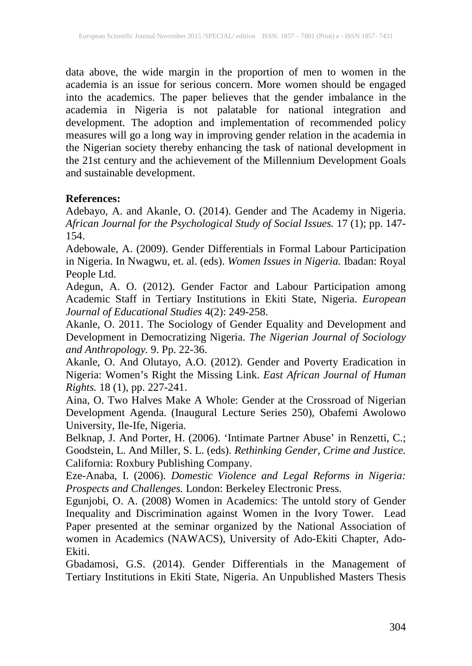data above, the wide margin in the proportion of men to women in the academia is an issue for serious concern. More women should be engaged into the academics. The paper believes that the gender imbalance in the academia in Nigeria is not palatable for national integration and development. The adoption and implementation of recommended policy measures will go a long way in improving gender relation in the academia in the Nigerian society thereby enhancing the task of national development in the 21st century and the achievement of the Millennium Development Goals and sustainable development.

## **References:**

Adebayo, A. and Akanle, O. (2014). Gender and The Academy in Nigeria. *African Journal for the Psychological Study of Social Issues.* 17 (1); pp. 147- 154.

Adebowale, A. (2009). Gender Differentials in Formal Labour Participation in Nigeria. In Nwagwu, et. al. (eds). *Women Issues in Nigeria.* Ibadan: Royal People Ltd.

Adegun, A. O. (2012). Gender Factor and Labour Participation among Academic Staff in Tertiary Institutions in Ekiti State, Nigeria. *European Journal of Educational Studies* 4(2): 249-258.

Akanle, O. 2011. The Sociology of Gender Equality and Development and Development in Democratizing Nigeria. *The Nigerian Journal of Sociology and Anthropology.* 9. Pp. 22-36.

Akanle, O. And Olutayo, A.O. (2012). Gender and Poverty Eradication in Nigeria: Women's Right the Missing Link. *East African Journal of Human Rights.* 18 (1), pp. 227-241.

Aina, O. Two Halves Make A Whole: Gender at the Crossroad of Nigerian Development Agenda. (Inaugural Lecture Series 250), Obafemi Awolowo University, Ile-Ife, Nigeria.

Belknap, J. And Porter, H. (2006). 'Intimate Partner Abuse' in Renzetti, C.; Goodstein, L. And Miller, S. L. (eds). *Rethinking Gender, Crime and Justice.* California: Roxbury Publishing Company.

Eze-Anaba, I. (2006). *Domestic Violence and Legal Reforms in Nigeria: Prospects and Challenges.* London: Berkeley Electronic Press.

Egunjobi, O. A. (2008) Women in Academics: The untold story of Gender Inequality and Discrimination against Women in the Ivory Tower. Lead Paper presented at the seminar organized by the National Association of women in Academics (NAWACS), University of Ado-Ekiti Chapter, Ado-Ekiti.

Gbadamosi, G.S. (2014). Gender Differentials in the Management of Tertiary Institutions in Ekiti State, Nigeria. An Unpublished Masters Thesis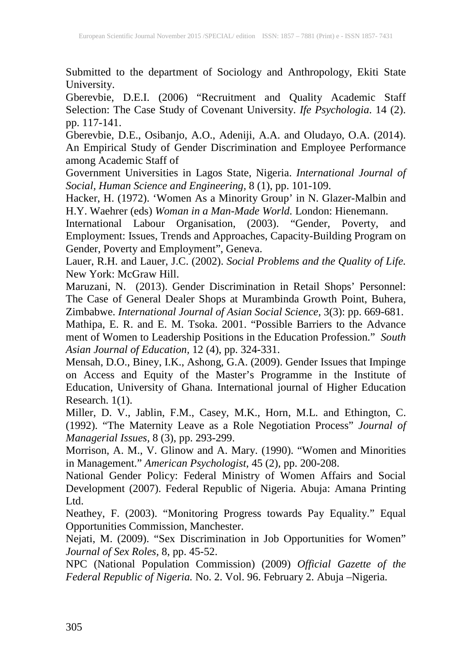Submitted to the department of Sociology and Anthropology, Ekiti State University.

Gberevbie, D.E.I. (2006) "Recruitment and Quality Academic Staff Selection: The Case Study of Covenant University. *Ife Psychologia*. 14 (2). pp. 117-141.

Gberevbie, D.E., Osibanjo, A.O., Adeniji, A.A. and Oludayo, O.A. (2014). An Empirical Study of Gender Discrimination and Employee Performance among Academic Staff of

Government Universities in Lagos State, Nigeria. *International Journal of Social, Human Science and Engineering,* 8 (1), pp. 101-109.

Hacker, H. (1972). 'Women As a Minority Group' in N. Glazer-Malbin and H.Y. Waehrer (eds) *Woman in a Man-Made World.* London: Hienemann.

International Labour Organisation, (2003). "Gender, Poverty, and Employment: Issues, Trends and Approaches, Capacity-Building Program on Gender, Poverty and Employment", Geneva.

Lauer, R.H. and Lauer, J.C. (2002). *Social Problems and the Quality of Life.*  New York: McGraw Hill.

Maruzani, N. (2013). Gender Discrimination in Retail Shops' Personnel: The Case of General Dealer Shops at Murambinda Growth Point, Buhera, Zimbabwe. *International Journal of Asian Social Science,* 3(3): pp. 669-681.

Mathipa, E. R. and E. M. Tsoka. 2001. "Possible Barriers to the Advance ment of Women to Leadership Positions in the Education Profession." *South Asian Journal of Education,* 12 (4), pp. 324-331.

Mensah, D.O., Biney, I.K., Ashong, G.A. (2009). Gender Issues that Impinge on Access and Equity of the Master's Programme in the Institute of Education, University of Ghana. International journal of Higher Education Research. 1(1).

Miller, D. V., Jablin, F.M., Casey, M.K., Horn, M.L. and Ethington, C. (1992). "The Maternity Leave as a Role Negotiation Process" *Journal of Managerial Issues,* 8 (3), pp. 293-299.

Morrison, A. M., V. Glinow and A. Mary. (1990). "Women and Minorities in Management." *American Psychologist,* 45 (2), pp. 200-208.

National Gender Policy: Federal Ministry of Women Affairs and Social Development (2007). Federal Republic of Nigeria. Abuja: Amana Printing Ltd.

Neathey, F. (2003). "Monitoring Progress towards Pay Equality." Equal Opportunities Commission, Manchester.

Nejati, M. (2009). "Sex Discrimination in Job Opportunities for Women" *Journal of Sex Roles,* 8, pp. 45-52.

NPC (National Population Commission) (2009) *Official Gazette of the Federal Republic of Nigeria.* No. 2. Vol. 96. February 2. Abuja –Nigeria.